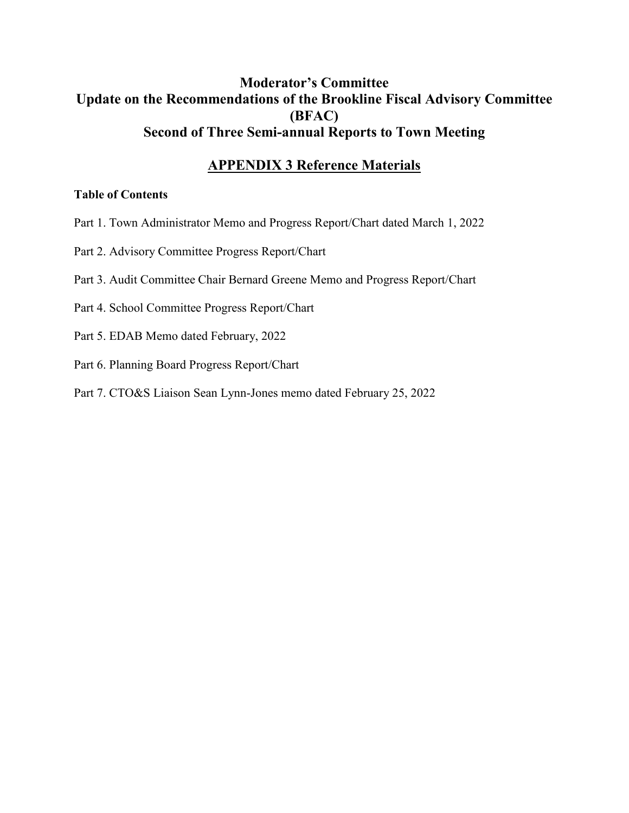## **Moderator's Committee Update on the Recommendations of the Brookline Fiscal Advisory Committee (BFAC) Second of Three Semi-annual Reports to Town Meeting**

## **APPENDIX 3 Reference Materials**

#### **Table of Contents**

- Part 1. Town Administrator Memo and Progress Report/Chart dated March 1, 2022
- Part 2. Advisory Committee Progress Report/Chart
- Part 3. Audit Committee Chair Bernard Greene Memo and Progress Report/Chart
- Part 4. School Committee Progress Report/Chart
- Part 5. EDAB Memo dated February, 2022
- Part 6. Planning Board Progress Report/Chart
- Part 7. CTO&S Liaison Sean Lynn-Jones memo dated February 25, 2022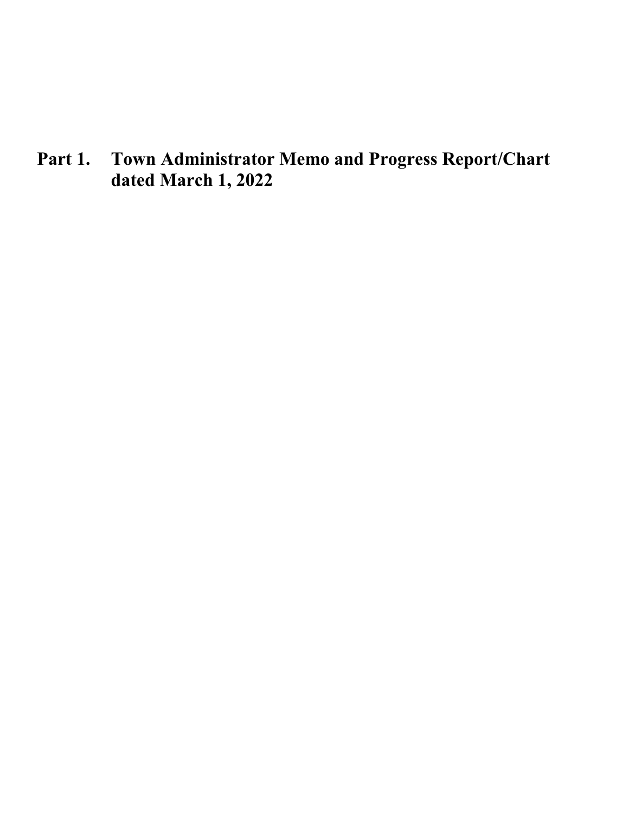**Part 1. Town Administrator Memo and Progress Report/Chart dated March 1, 2022**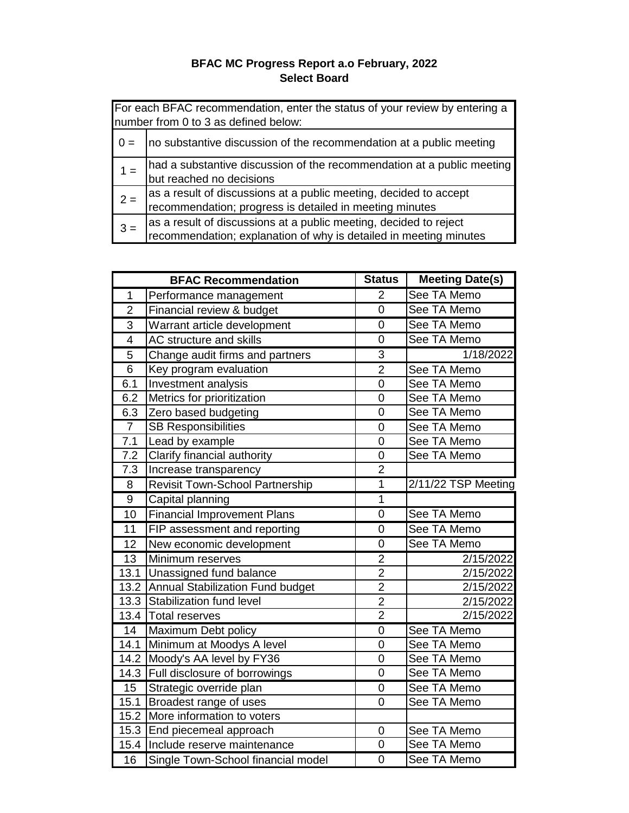#### **BFAC MC Progress Report a.o February, 2022 Select Board**

|       | For each BFAC recommendation, enter the status of your review by entering a<br>number from 0 to 3 as defined below:                    |  |  |
|-------|----------------------------------------------------------------------------------------------------------------------------------------|--|--|
|       | no substantive discussion of the recommendation at a public meeting                                                                    |  |  |
|       | had a substantive discussion of the recommendation at a public meeting<br>but reached no decisions                                     |  |  |
| $2 =$ | as a result of discussions at a public meeting, decided to accept<br>recommendation; progress is detailed in meeting minutes           |  |  |
| $3 =$ | as a result of discussions at a public meeting, decided to reject<br>recommendation; explanation of why is detailed in meeting minutes |  |  |

|                  | <b>BFAC Recommendation</b>         | <b>Status</b>  | <b>Meeting Date(s)</b> |
|------------------|------------------------------------|----------------|------------------------|
| $\overline{1}$   | Performance management             | $\overline{2}$ | See TA Memo            |
| $\overline{c}$   | Financial review & budget          | $\overline{0}$ | See TA Memo            |
| $\overline{3}$   | Warrant article development        |                | See TA Memo            |
| $\overline{4}$   | AC structure and skills            | $\overline{0}$ | See TA Memo            |
| $\overline{5}$   | Change audit firms and partners    | $\overline{3}$ | 1/18/2022              |
| $\overline{6}$   | Key program evaluation             | $\overline{2}$ | See TA Memo            |
| 6.1              | <b>Investment analysis</b>         | $\overline{0}$ | See TA Memo            |
| 6.2              | Metrics for prioritization         | $\mathbf 0$    | See TA Memo            |
| 6.3              | Zero based budgeting               | $\overline{0}$ | See TA Memo            |
| $\overline{7}$   | <b>SB Responsibilities</b>         | $\overline{0}$ | See TA Memo            |
| 7.1              | Lead by example                    | $\overline{0}$ | See TA Memo            |
| 7.2              | Clarify financial authority        | $\overline{0}$ | See TA Memo            |
| 7.3              | Increase transparency              | $\overline{2}$ |                        |
| 8                | Revisit Town-School Partnership    | $\overline{1}$ | 2/11/22 TSP Meeting    |
| $\boldsymbol{9}$ | Capital planning                   | $\mathbf{1}$   |                        |
| 10               | <b>Financial Improvement Plans</b> | $\overline{0}$ | See TA Memo            |
| 11               | FIP assessment and reporting       | $\overline{0}$ | See TA Memo            |
| 12               | New economic development           | 0              | See TA Memo            |
| 13               | Minimum reserves                   | $\overline{2}$ | 2/15/2022              |
| 13.1             | Unassigned fund balance            | $\overline{2}$ | 2/15/2022              |
| 13.2             | Annual Stabilization Fund budget   | $\overline{2}$ | 2/15/2022              |
| 13.3             | Stabilization fund level           | $\overline{2}$ | 2/15/2022              |
| 13.4             | <b>Total reserves</b>              | $\overline{2}$ | 2/15/2022              |
| $\overline{14}$  | Maximum Debt policy                | $\mathbf 0$    | See TA Memo            |
| 14.1             | Minimum at Moodys A level          | $\overline{0}$ | See TA Memo            |
| 14.2             | Moody's AA level by FY36           | $\mathbf 0$    | See TA Memo            |
| 14.3             | Full disclosure of borrowings      | $\overline{0}$ | See TA Memo            |
| 15               | Strategic override plan            | $\mathbf 0$    | See TA Memo            |
| 15.1             | Broadest range of uses             | 0              | See TA Memo            |
| 15.2             | More information to voters         |                |                        |
| 15.3             | End piecemeal approach             | $\mathbf 0$    | See TA Memo            |
| 15.4             | Include reserve maintenance        | $\overline{0}$ | See TA Memo            |
| 16               | Single Town-School financial model | $\overline{0}$ | See TA Memo            |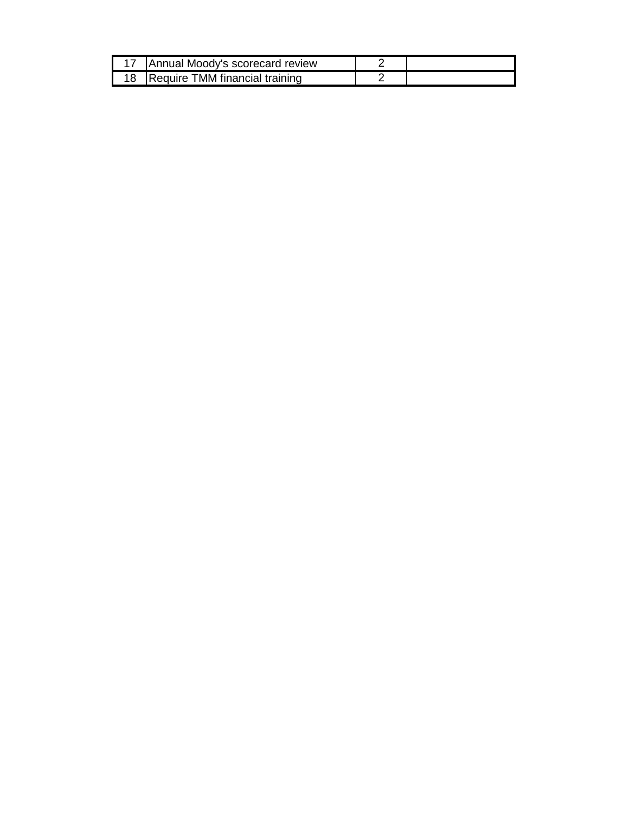| <b>Annual Moody's scorecard review</b> |  |
|----------------------------------------|--|
| 18 Require TMM financial training      |  |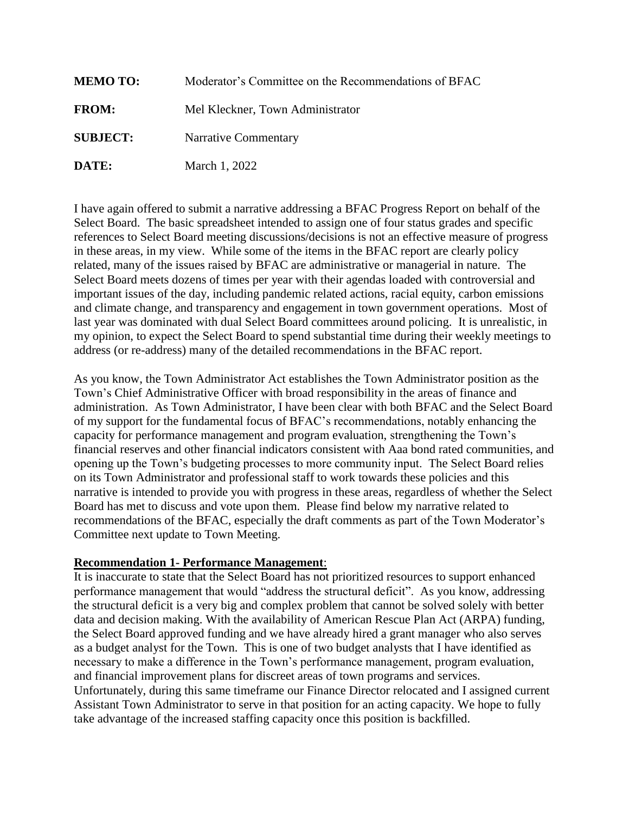| <b>MEMO TO:</b> | Moderator's Committee on the Recommendations of BFAC |
|-----------------|------------------------------------------------------|
| <b>FROM:</b>    | Mel Kleckner, Town Administrator                     |
| <b>SUBJECT:</b> | Narrative Commentary                                 |
| DATE:           | March 1, 2022                                        |

I have again offered to submit a narrative addressing a BFAC Progress Report on behalf of the Select Board. The basic spreadsheet intended to assign one of four status grades and specific references to Select Board meeting discussions/decisions is not an effective measure of progress in these areas, in my view. While some of the items in the BFAC report are clearly policy related, many of the issues raised by BFAC are administrative or managerial in nature. The Select Board meets dozens of times per year with their agendas loaded with controversial and important issues of the day, including pandemic related actions, racial equity, carbon emissions and climate change, and transparency and engagement in town government operations. Most of last year was dominated with dual Select Board committees around policing. It is unrealistic, in my opinion, to expect the Select Board to spend substantial time during their weekly meetings to address (or re-address) many of the detailed recommendations in the BFAC report.

As you know, the Town Administrator Act establishes the Town Administrator position as the Town's Chief Administrative Officer with broad responsibility in the areas of finance and administration. As Town Administrator, I have been clear with both BFAC and the Select Board of my support for the fundamental focus of BFAC's recommendations, notably enhancing the capacity for performance management and program evaluation, strengthening the Town's financial reserves and other financial indicators consistent with Aaa bond rated communities, and opening up the Town's budgeting processes to more community input. The Select Board relies on its Town Administrator and professional staff to work towards these policies and this narrative is intended to provide you with progress in these areas, regardless of whether the Select Board has met to discuss and vote upon them. Please find below my narrative related to recommendations of the BFAC, especially the draft comments as part of the Town Moderator's Committee next update to Town Meeting.

#### **Recommendation 1- Performance Management**:

It is inaccurate to state that the Select Board has not prioritized resources to support enhanced performance management that would "address the structural deficit". As you know, addressing the structural deficit is a very big and complex problem that cannot be solved solely with better data and decision making. With the availability of American Rescue Plan Act (ARPA) funding, the Select Board approved funding and we have already hired a grant manager who also serves as a budget analyst for the Town. This is one of two budget analysts that I have identified as necessary to make a difference in the Town's performance management, program evaluation, and financial improvement plans for discreet areas of town programs and services. Unfortunately, during this same timeframe our Finance Director relocated and I assigned current Assistant Town Administrator to serve in that position for an acting capacity. We hope to fully take advantage of the increased staffing capacity once this position is backfilled.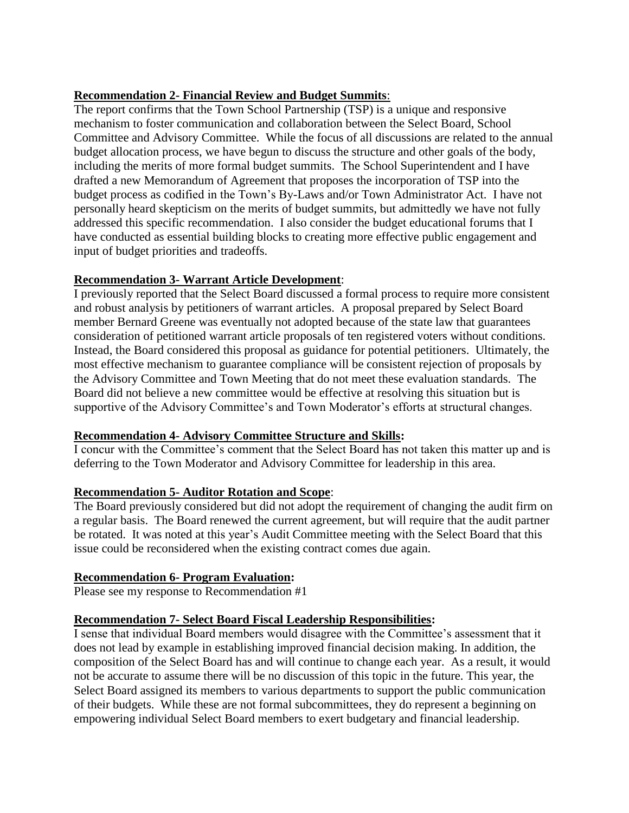#### **Recommendation 2- Financial Review and Budget Summits**:

The report confirms that the Town School Partnership (TSP) is a unique and responsive mechanism to foster communication and collaboration between the Select Board, School Committee and Advisory Committee. While the focus of all discussions are related to the annual budget allocation process, we have begun to discuss the structure and other goals of the body, including the merits of more formal budget summits. The School Superintendent and I have drafted a new Memorandum of Agreement that proposes the incorporation of TSP into the budget process as codified in the Town's By-Laws and/or Town Administrator Act. I have not personally heard skepticism on the merits of budget summits, but admittedly we have not fully addressed this specific recommendation. I also consider the budget educational forums that I have conducted as essential building blocks to creating more effective public engagement and input of budget priorities and tradeoffs.

#### **Recommendation 3- Warrant Article Development**:

I previously reported that the Select Board discussed a formal process to require more consistent and robust analysis by petitioners of warrant articles. A proposal prepared by Select Board member Bernard Greene was eventually not adopted because of the state law that guarantees consideration of petitioned warrant article proposals of ten registered voters without conditions. Instead, the Board considered this proposal as guidance for potential petitioners. Ultimately, the most effective mechanism to guarantee compliance will be consistent rejection of proposals by the Advisory Committee and Town Meeting that do not meet these evaluation standards. The Board did not believe a new committee would be effective at resolving this situation but is supportive of the Advisory Committee's and Town Moderator's efforts at structural changes.

#### **Recommendation 4- Advisory Committee Structure and Skills:**

I concur with the Committee's comment that the Select Board has not taken this matter up and is deferring to the Town Moderator and Advisory Committee for leadership in this area.

#### **Recommendation 5- Auditor Rotation and Scope**:

The Board previously considered but did not adopt the requirement of changing the audit firm on a regular basis. The Board renewed the current agreement, but will require that the audit partner be rotated. It was noted at this year's Audit Committee meeting with the Select Board that this issue could be reconsidered when the existing contract comes due again.

#### **Recommendation 6- Program Evaluation:**

Please see my response to Recommendation #1

#### **Recommendation 7- Select Board Fiscal Leadership Responsibilities:**

I sense that individual Board members would disagree with the Committee's assessment that it does not lead by example in establishing improved financial decision making. In addition, the composition of the Select Board has and will continue to change each year. As a result, it would not be accurate to assume there will be no discussion of this topic in the future. This year, the Select Board assigned its members to various departments to support the public communication of their budgets. While these are not formal subcommittees, they do represent a beginning on empowering individual Select Board members to exert budgetary and financial leadership.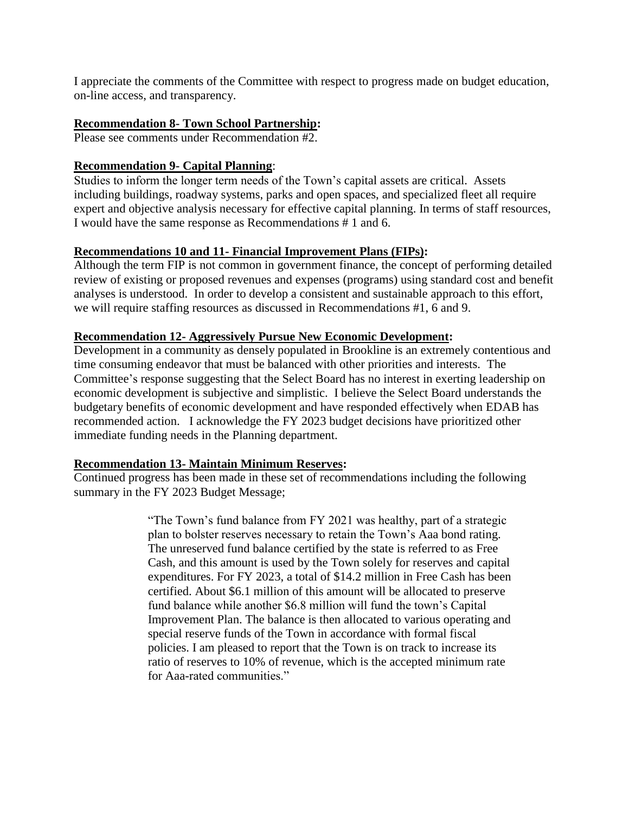I appreciate the comments of the Committee with respect to progress made on budget education, on-line access, and transparency.

#### **Recommendation 8- Town School Partnership:**

Please see comments under Recommendation #2.

#### **Recommendation 9- Capital Planning**:

Studies to inform the longer term needs of the Town's capital assets are critical. Assets including buildings, roadway systems, parks and open spaces, and specialized fleet all require expert and objective analysis necessary for effective capital planning. In terms of staff resources, I would have the same response as Recommendations # 1 and 6.

#### **Recommendations 10 and 11- Financial Improvement Plans (FIPs):**

Although the term FIP is not common in government finance, the concept of performing detailed review of existing or proposed revenues and expenses (programs) using standard cost and benefit analyses is understood. In order to develop a consistent and sustainable approach to this effort, we will require staffing resources as discussed in Recommendations #1, 6 and 9.

#### **Recommendation 12- Aggressively Pursue New Economic Development:**

Development in a community as densely populated in Brookline is an extremely contentious and time consuming endeavor that must be balanced with other priorities and interests. The Committee's response suggesting that the Select Board has no interest in exerting leadership on economic development is subjective and simplistic. I believe the Select Board understands the budgetary benefits of economic development and have responded effectively when EDAB has recommended action. I acknowledge the FY 2023 budget decisions have prioritized other immediate funding needs in the Planning department.

#### **Recommendation 13- Maintain Minimum Reserves:**

Continued progress has been made in these set of recommendations including the following summary in the FY 2023 Budget Message;

> "The Town's fund balance from FY 2021 was healthy, part of a strategic plan to bolster reserves necessary to retain the Town's Aaa bond rating. The unreserved fund balance certified by the state is referred to as Free Cash, and this amount is used by the Town solely for reserves and capital expenditures. For FY 2023, a total of \$14.2 million in Free Cash has been certified. About \$6.1 million of this amount will be allocated to preserve fund balance while another \$6.8 million will fund the town's Capital Improvement Plan. The balance is then allocated to various operating and special reserve funds of the Town in accordance with formal fiscal policies. I am pleased to report that the Town is on track to increase its ratio of reserves to 10% of revenue, which is the accepted minimum rate for Aaa-rated communities."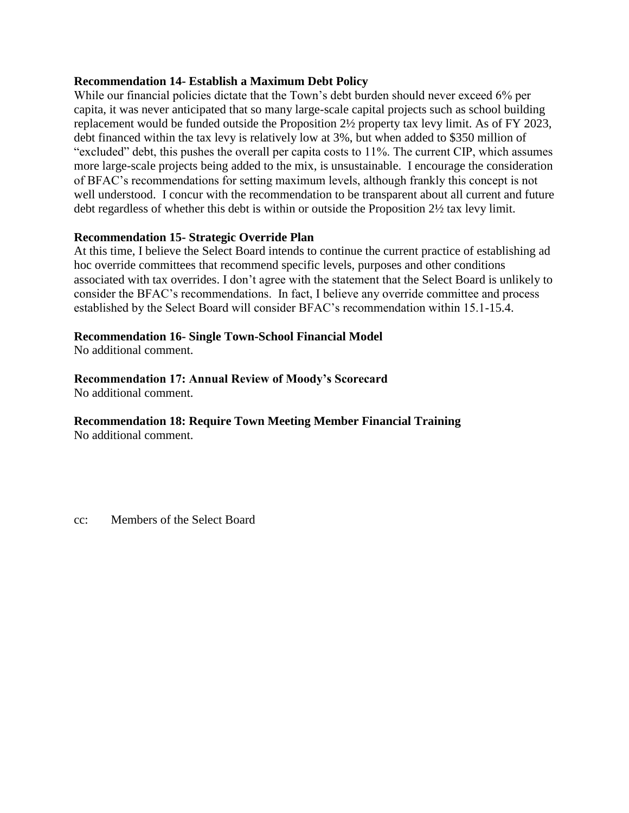#### **Recommendation 14- Establish a Maximum Debt Policy**

While our financial policies dictate that the Town's debt burden should never exceed 6% per capita, it was never anticipated that so many large-scale capital projects such as school building replacement would be funded outside the Proposition 2½ property tax levy limit. As of FY 2023, debt financed within the tax levy is relatively low at 3%, but when added to \$350 million of "excluded" debt, this pushes the overall per capita costs to 11%. The current CIP, which assumes more large-scale projects being added to the mix, is unsustainable. I encourage the consideration of BFAC's recommendations for setting maximum levels, although frankly this concept is not well understood. I concur with the recommendation to be transparent about all current and future debt regardless of whether this debt is within or outside the Proposition 2½ tax levy limit.

#### **Recommendation 15- Strategic Override Plan**

At this time, I believe the Select Board intends to continue the current practice of establishing ad hoc override committees that recommend specific levels, purposes and other conditions associated with tax overrides. I don't agree with the statement that the Select Board is unlikely to consider the BFAC's recommendations. In fact, I believe any override committee and process established by the Select Board will consider BFAC's recommendation within 15.1-15.4.

#### **Recommendation 16- Single Town-School Financial Model**

No additional comment.

#### **Recommendation 17: Annual Review of Moody's Scorecard**

No additional comment.

#### **Recommendation 18: Require Town Meeting Member Financial Training**

No additional comment.

cc: Members of the Select Board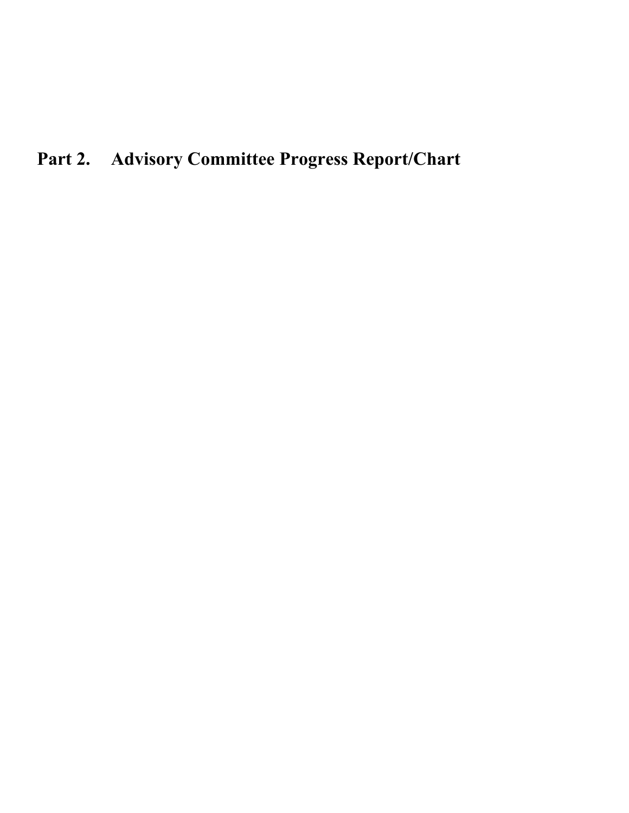# **Part 2. Advisory Committee Progress Report/Chart**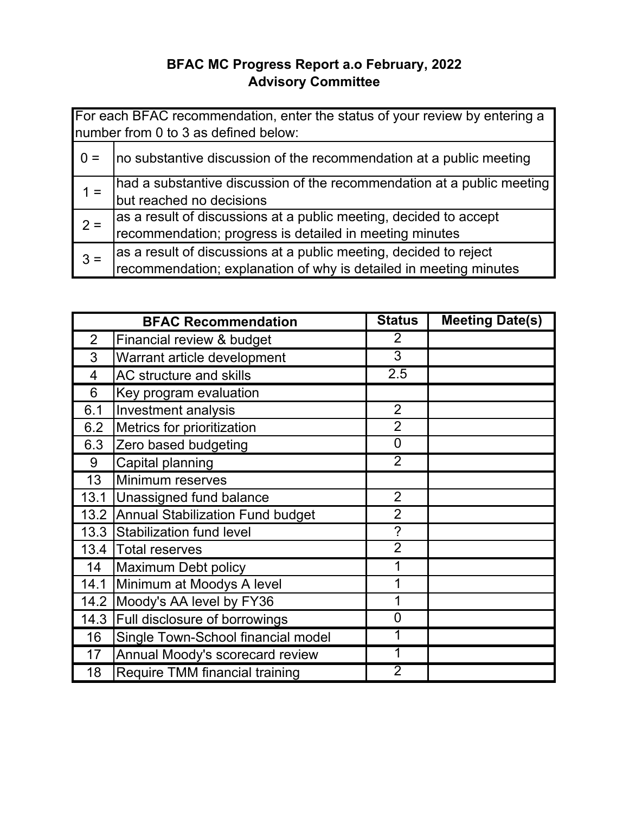## **BFAC MC Progress Report a.o February, 2022 Advisory Committee**

|       | For each BFAC recommendation, enter the status of your review by entering a<br>number from 0 to 3 as defined below:                    |
|-------|----------------------------------------------------------------------------------------------------------------------------------------|
| $0 =$ | no substantive discussion of the recommendation at a public meeting                                                                    |
| $1 =$ | had a substantive discussion of the recommendation at a public meeting<br>but reached no decisions                                     |
| $2 =$ | as a result of discussions at a public meeting, decided to accept<br>recommendation; progress is detailed in meeting minutes           |
| $3 =$ | as a result of discussions at a public meeting, decided to reject<br>recommendation; explanation of why is detailed in meeting minutes |

| <b>BFAC Recommendation</b> |                                         | <b>Status</b>  | <b>Meeting Date(s)</b> |
|----------------------------|-----------------------------------------|----------------|------------------------|
| $\overline{2}$             | Financial review & budget               | $\overline{2}$ |                        |
| 3                          | Warrant article development             |                |                        |
| 4                          | AC structure and skills                 | 2.5            |                        |
| 6                          | Key program evaluation                  |                |                        |
| 6.1                        | Investment analysis                     | $\overline{2}$ |                        |
| 6.2                        | Metrics for prioritization              | $\overline{2}$ |                        |
| 6.3                        | Zero based budgeting                    | $\overline{0}$ |                        |
| 9                          | Capital planning                        | $\overline{2}$ |                        |
| 13                         | Minimum reserves                        |                |                        |
| 13.1                       | Unassigned fund balance                 | $\overline{2}$ |                        |
| 13.2                       | <b>Annual Stabilization Fund budget</b> | $\overline{2}$ |                        |
| 13.3                       | Stabilization fund level                | $\tilde{?}$    |                        |
| 13.4                       | <b>Total reserves</b>                   | $\overline{2}$ |                        |
| 14                         | Maximum Debt policy                     |                |                        |
| 14.1                       | Minimum at Moodys A level               | 1              |                        |
| 14.2                       | Moody's AA level by FY36                | 1              |                        |
| 14.3                       | Full disclosure of borrowings           | $\mathbf 0$    |                        |
| 16                         | Single Town-School financial model      |                |                        |
| 17                         | Annual Moody's scorecard review         |                |                        |
| 18                         | Require TMM financial training          | 2              |                        |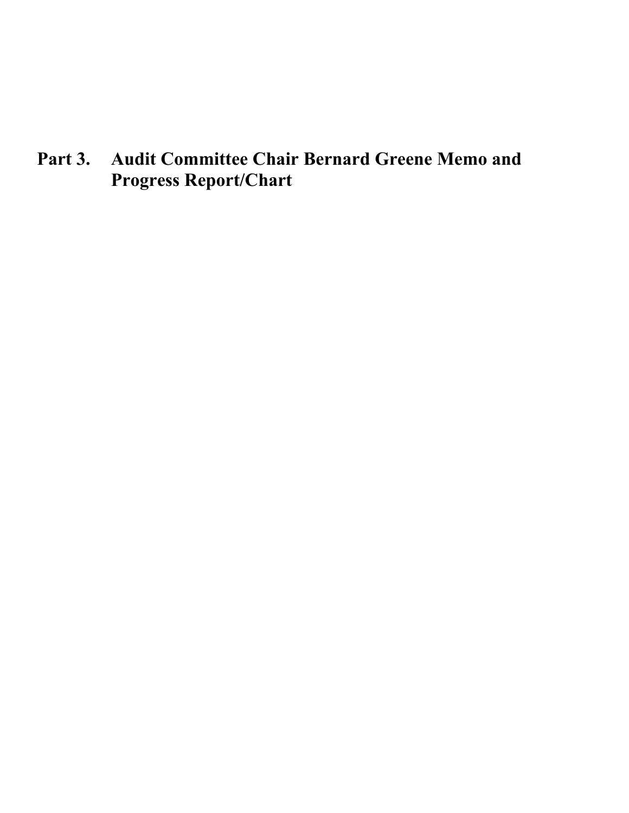**Part 3. Audit Committee Chair Bernard Greene Memo and Progress Report/Chart**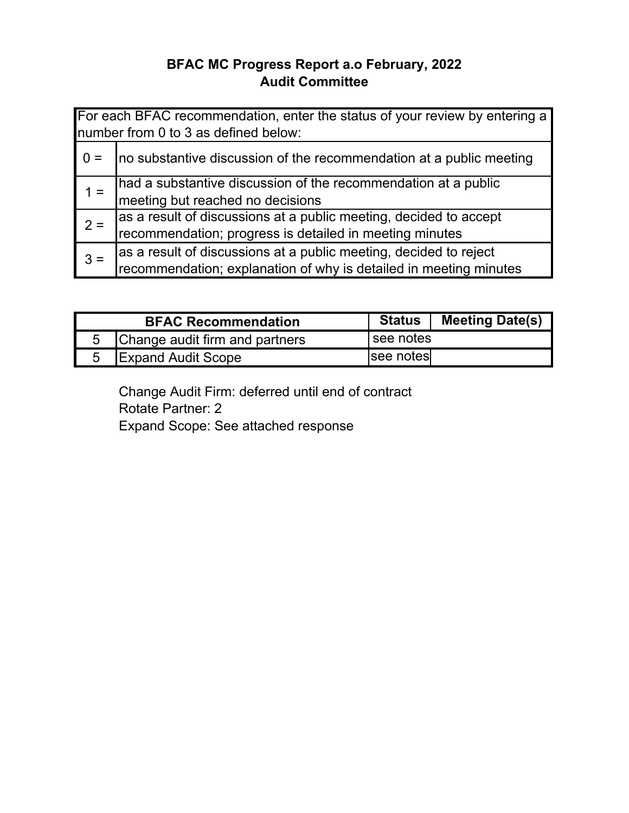## **BFAC MC Progress Report a.o February, 2022 Audit Committee**

|       | For each BFAC recommendation, enter the status of your review by entering a<br>number from 0 to 3 as defined below:                    |
|-------|----------------------------------------------------------------------------------------------------------------------------------------|
|       | no substantive discussion of the recommendation at a public meeting                                                                    |
| $1 =$ | had a substantive discussion of the recommendation at a public<br>meeting but reached no decisions                                     |
| $2 =$ | as a result of discussions at a public meeting, decided to accept<br>recommendation; progress is detailed in meeting minutes           |
| $3 =$ | as a result of discussions at a public meeting, decided to reject<br>recommendation; explanation of why is detailed in meeting minutes |

| <b>BFAC Recommendation</b>     | <b>Status</b> | <b>Meeting Date(s)</b> |
|--------------------------------|---------------|------------------------|
| Change audit firm and partners | see notes     |                        |
| <b>Expand Audit Scope</b>      | see notes     |                        |

Change Audit Firm: deferred until end of contract Rotate Partner: 2 Expand Scope: See attached response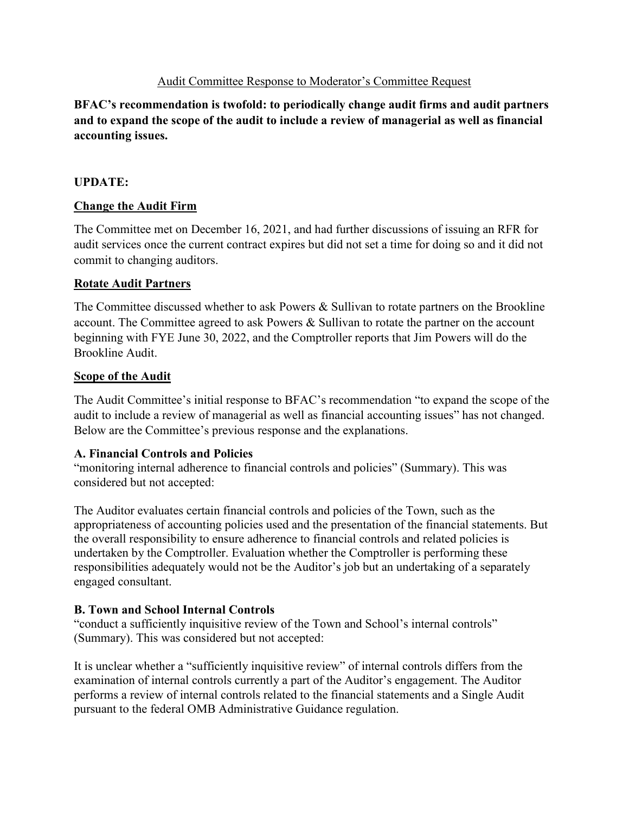#### Audit Committee Response to Moderator's Committee Request

#### **BFAC's recommendation is twofold: to periodically change audit firms and audit partners and to expand the scope of the audit to include a review of managerial as well as financial accounting issues.**

#### **UPDATE:**

#### **Change the Audit Firm**

The Committee met on December 16, 2021, and had further discussions of issuing an RFR for audit services once the current contract expires but did not set a time for doing so and it did not commit to changing auditors.

#### **Rotate Audit Partners**

The Committee discussed whether to ask Powers & Sullivan to rotate partners on the Brookline account. The Committee agreed to ask Powers & Sullivan to rotate the partner on the account beginning with FYE June 30, 2022, and the Comptroller reports that Jim Powers will do the Brookline Audit.

#### **Scope of the Audit**

The Audit Committee's initial response to BFAC's recommendation "to expand the scope of the audit to include a review of managerial as well as financial accounting issues" has not changed. Below are the Committee's previous response and the explanations.

#### **A. Financial Controls and Policies**

"monitoring internal adherence to financial controls and policies" (Summary). This was considered but not accepted:

The Auditor evaluates certain financial controls and policies of the Town, such as the appropriateness of accounting policies used and the presentation of the financial statements. But the overall responsibility to ensure adherence to financial controls and related policies is undertaken by the Comptroller. Evaluation whether the Comptroller is performing these responsibilities adequately would not be the Auditor's job but an undertaking of a separately engaged consultant.

#### **B. Town and School Internal Controls**

"conduct a sufficiently inquisitive review of the Town and School's internal controls" (Summary). This was considered but not accepted:

It is unclear whether a "sufficiently inquisitive review" of internal controls differs from the examination of internal controls currently a part of the Auditor's engagement. The Auditor performs a review of internal controls related to the financial statements and a Single Audit pursuant to the federal OMB Administrative Guidance regulation.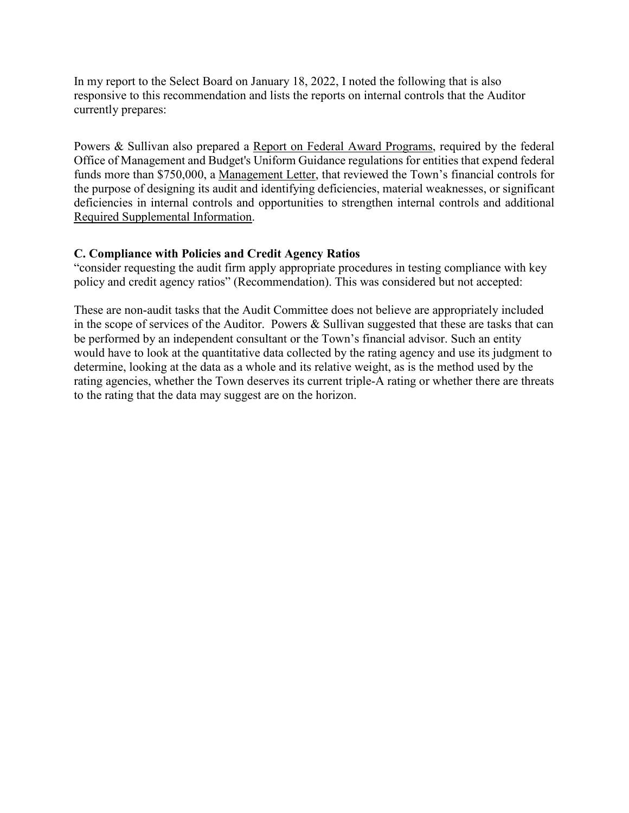In my report to the Select Board on January 18, 2022, I noted the following that is also responsive to this recommendation and lists the reports on internal controls that the Auditor currently prepares:

Powers & Sullivan also prepared a Report on Federal Award Programs, required by the federal Office of Management and Budget's Uniform Guidance regulations for entities that expend federal funds more than \$750,000, a Management Letter, that reviewed the Town's financial controls for the purpose of designing its audit and identifying deficiencies, material weaknesses, or significant deficiencies in internal controls and opportunities to strengthen internal controls and additional Required Supplemental Information.

#### **C. Compliance with Policies and Credit Agency Ratios**

"consider requesting the audit firm apply appropriate procedures in testing compliance with key policy and credit agency ratios" (Recommendation). This was considered but not accepted:

These are non-audit tasks that the Audit Committee does not believe are appropriately included in the scope of services of the Auditor. Powers & Sullivan suggested that these are tasks that can be performed by an independent consultant or the Town's financial advisor. Such an entity would have to look at the quantitative data collected by the rating agency and use its judgment to determine, looking at the data as a whole and its relative weight, as is the method used by the rating agencies, whether the Town deserves its current triple-A rating or whether there are threats to the rating that the data may suggest are on the horizon.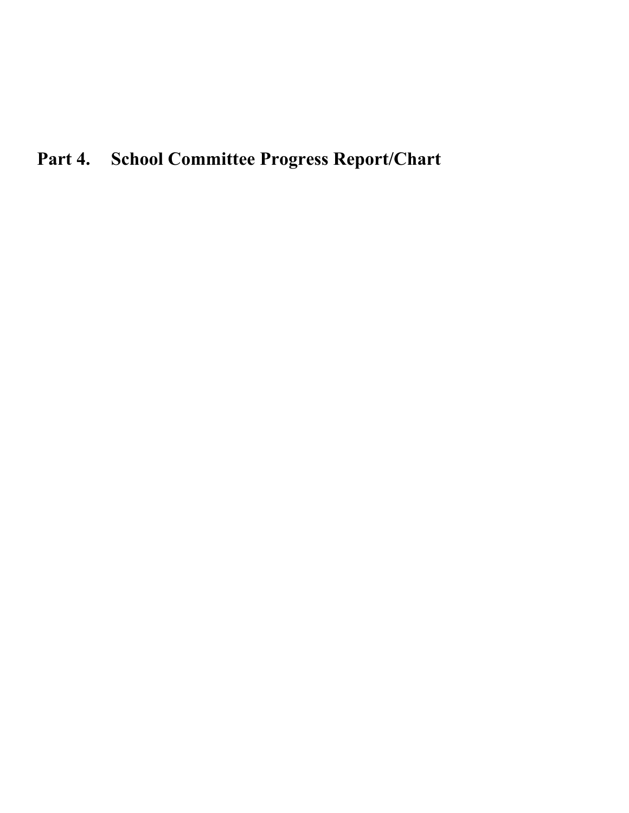# **Part 4. School Committee Progress Report/Chart**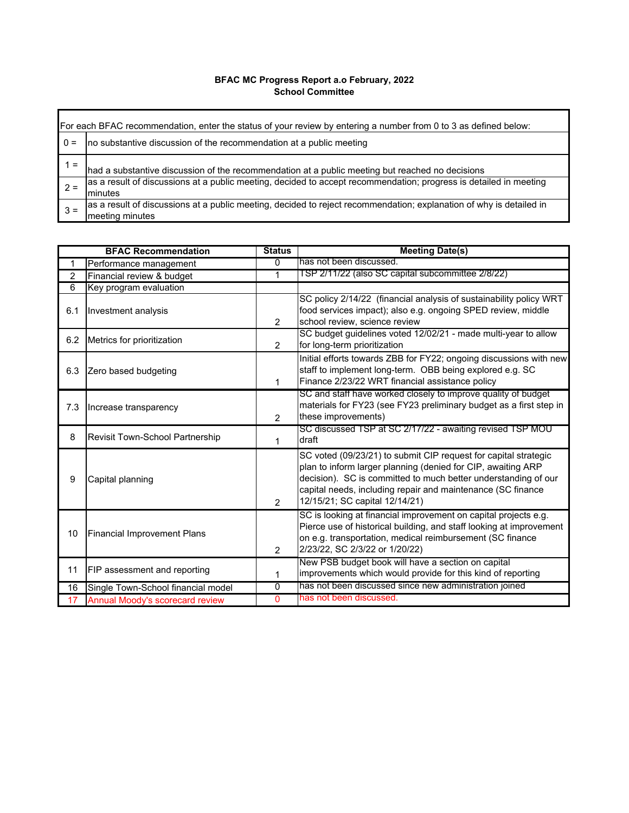#### **BFAC MC Progress Report a.o February, 2022 School Committee**

|          | For each BFAC recommendation, enter the status of your review by entering a number from 0 to 3 as defined below:                       |  |  |  |
|----------|----------------------------------------------------------------------------------------------------------------------------------------|--|--|--|
| $0 =$    | no substantive discussion of the recommendation at a public meeting                                                                    |  |  |  |
| $\equiv$ | had a substantive discussion of the recommendation at a public meeting but reached no decisions                                        |  |  |  |
| $2 =$    | as a result of discussions at a public meeting, decided to accept recommendation; progress is detailed in meeting<br>minutes           |  |  |  |
| $3 =$    | as a result of discussions at a public meeting, decided to reject recommendation; explanation of why is detailed in<br>meeting minutes |  |  |  |

| <b>BFAC Recommendation</b> |                                        | <b>Status</b>  | <b>Meeting Date(s)</b>                                                                                                                                                                                                                                                                             |
|----------------------------|----------------------------------------|----------------|----------------------------------------------------------------------------------------------------------------------------------------------------------------------------------------------------------------------------------------------------------------------------------------------------|
| 1                          | Performance management                 | 0              | has not been discussed                                                                                                                                                                                                                                                                             |
| $\overline{2}$             | Financial review & budget              | 1              | ISP 2/11/22 (also SC capital subcommittee 2/8/22)                                                                                                                                                                                                                                                  |
| 6                          | Key program evaluation                 |                |                                                                                                                                                                                                                                                                                                    |
| 6.1                        | Investment analysis                    | $\overline{2}$ | SC policy 2/14/22 (financial analysis of sustainability policy WRT<br>food services impact); also e.g. ongoing SPED review, middle<br>school review, science review                                                                                                                                |
| 6.2                        | Metrics for prioritization             | $\overline{2}$ | SC budget guidelines voted 12/02/21 - made multi-year to allow<br>for long-term prioritization                                                                                                                                                                                                     |
| 6.3                        | Zero based budgeting                   | 1              | Initial efforts towards ZBB for FY22; ongoing discussions with new<br>staff to implement long-term. OBB being explored e.g. SC<br>Finance 2/23/22 WRT financial assistance policy                                                                                                                  |
| 7.3                        | Increase transparency                  | $\mathcal{P}$  | SC and staff have worked closely to improve quality of budget<br>materials for FY23 (see FY23 preliminary budget as a first step in<br>these improvements)                                                                                                                                         |
| 8                          | Revisit Town-School Partnership        | 1              | SC discussed TSP at SC 2/17/22 - awaiting revised TSP MOU<br>draft                                                                                                                                                                                                                                 |
| 9                          | Capital planning                       | $\overline{2}$ | SC voted (09/23/21) to submit CIP request for capital strategic<br>plan to inform larger planning (denied for CIP, awaiting ARP<br>decision). SC is committed to much better understanding of our<br>capital needs, including repair and maintenance (SC finance<br>12/15/21; SC capital 12/14/21) |
| 10                         | <b>Financial Improvement Plans</b>     | $\overline{2}$ | SC is looking at financial improvement on capital projects e.g.<br>Pierce use of historical building, and staff looking at improvement<br>on e.g. transportation, medical reimbursement (SC finance<br>2/23/22, SC 2/3/22 or 1/20/22)                                                              |
| 11                         | FIP assessment and reporting           | 1              | New PSB budget book will have a section on capital<br>improvements which would provide for this kind of reporting                                                                                                                                                                                  |
| 16                         | Single Town-School financial model     | $\overline{0}$ | has not been discussed since new administration joined                                                                                                                                                                                                                                             |
| 17                         | <b>Annual Moody's scorecard review</b> | 0              | has not been discussed.                                                                                                                                                                                                                                                                            |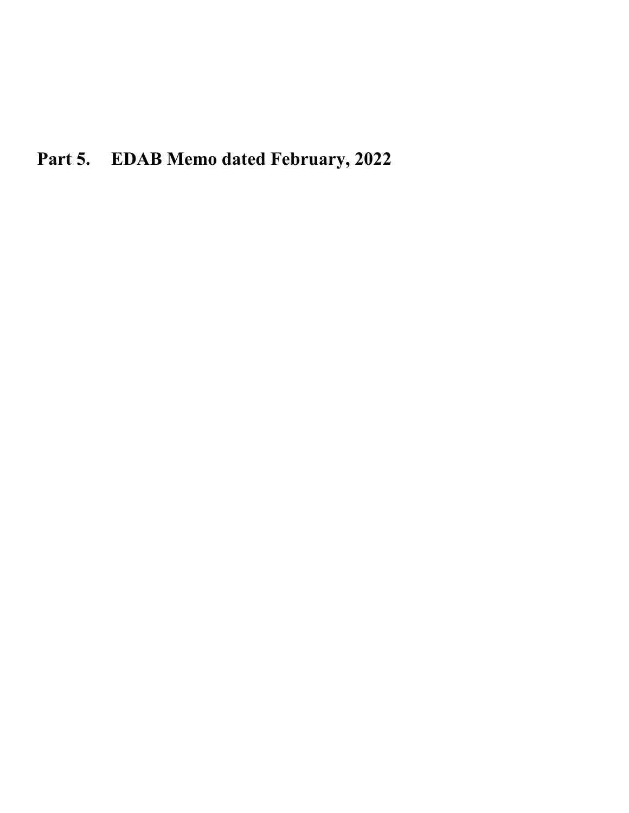**Part 5. EDAB Memo dated February, 2022**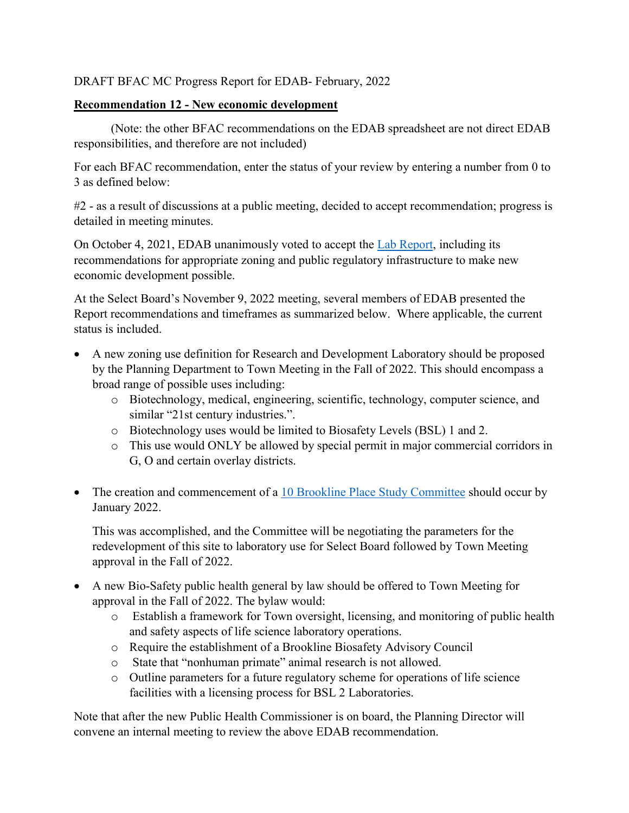DRAFT BFAC MC Progress Report for EDAB- February, 2022

#### **Recommendation 12 - New economic development**

(Note: the other BFAC recommendations on the EDAB spreadsheet are not direct EDAB responsibilities, and therefore are not included)

For each BFAC recommendation, enter the status of your review by entering a number from 0 to 3 as defined below:

#2 - as a result of discussions at a public meeting, decided to accept recommendation; progress is detailed in meeting minutes.

On October 4, 2021, EDAB unanimously voted to accept the Lab Report, including its recommendations for appropriate zoning and public regulatory infrastructure to make new economic development possible.

At the Select Board's November 9, 2022 meeting, several members of EDAB presented the Report recommendations and timeframes as summarized below. Where applicable, the current status is included.

- A new zoning use definition for Research and Development Laboratory should be proposed by the Planning Department to Town Meeting in the Fall of 2022. This should encompass a broad range of possible uses including:
	- o Biotechnology, medical, engineering, scientific, technology, computer science, and similar "21st century industries.".
	- o Biotechnology uses would be limited to Biosafety Levels (BSL) 1 and 2.
	- o This use would ONLY be allowed by special permit in major commercial corridors in G, O and certain overlay districts.
- The creation and commencement of a [10 Brookline Place Study Committee](https://www.brooklinema.gov/2038/10-Brookline-Place-Committee) should occur by January 2022.

This was accomplished, and the Committee will be negotiating the parameters for the redevelopment of this site to laboratory use for Select Board followed by Town Meeting approval in the Fall of 2022.

- A new Bio-Safety public health general by law should be offered to Town Meeting for approval in the Fall of 2022. The bylaw would:
	- o Establish a framework for Town oversight, licensing, and monitoring of public health and safety aspects of life science laboratory operations.
	- o Require the establishment of a Brookline Biosafety Advisory Council
	- o State that "nonhuman primate" animal research is not allowed.
	- o Outline parameters for a future regulatory scheme for operations of life science facilities with a licensing process for BSL 2 Laboratories.

Note that after the new Public Health Commissioner is on board, the Planning Director will convene an internal meeting to review the above EDAB recommendation.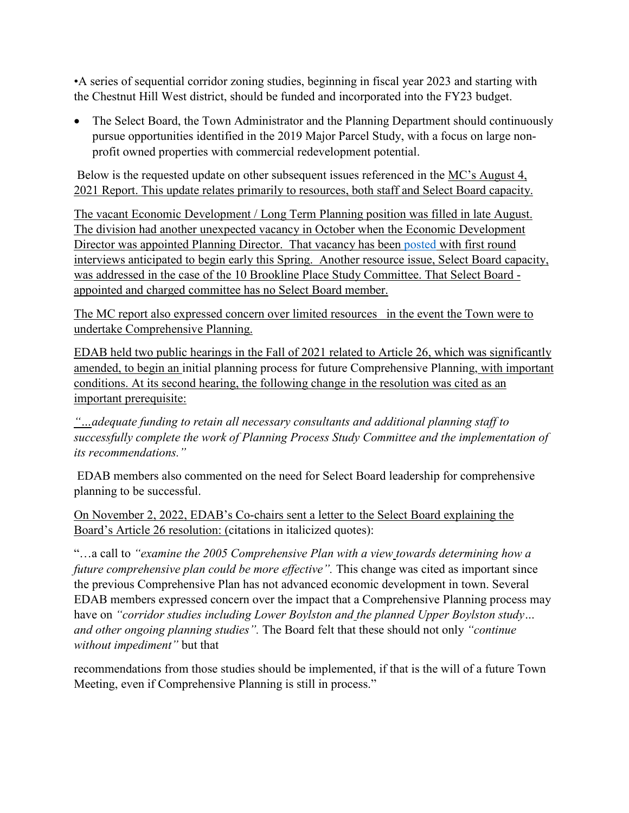•A series of sequential corridor zoning studies, beginning in fiscal year 2023 and starting with the Chestnut Hill West district, should be funded and incorporated into the FY23 budget.

• The Select Board, the Town Administrator and the Planning Department should continuously pursue opportunities identified in the 2019 Major Parcel Study, with a focus on large nonprofit owned properties with commercial redevelopment potential.

Below is the requested update on other subsequent issues referenced in the MC's August 4, 2021 Report. This update relates primarily to resources, both staff and Select Board capacity.

The vacant Economic Development / Long Term Planning position was filled in late August. The division had another unexpected vacancy in October when the Economic Development Director was appointed Planning Director. That vacancy has been [posted](https://www.linkedin.com/jobs/view/economic-development-director-at-town-of-brookline-2908875012/) with first round interviews anticipated to begin early this Spring. Another resource issue, Select Board capacity, was addressed in the case of the 10 Brookline Place Study Committee. That Select Board appointed and charged committee has no Select Board member.

The MC report also expressed concern over limited resources in the event the Town were to undertake Comprehensive Planning.

EDAB held two public hearings in the Fall of 2021 related to Article 26, which was significantly amended, to begin an initial planning process for future Comprehensive Planning, with important conditions. At its second hearing, the following change in the resolution was cited as an important prerequisite:

*"…adequate funding to retain all necessary consultants and additional planning staff to successfully complete the work of Planning Process Study Committee and the implementation of its recommendations."*

EDAB members also commented on the need for Select Board leadership for comprehensive planning to be successful.

On November 2, 2022, EDAB's Co-chairs sent a letter to the Select Board explaining the Board's Article 26 resolution: (citations in italicized quotes):

"…a call to *"examine the 2005 Comprehensive Plan with a view towards determining how a future comprehensive plan could be more effective".* This change was cited as important since the previous Comprehensive Plan has not advanced economic development in town. Several EDAB members expressed concern over the impact that a Comprehensive Planning process may have on *"corridor studies including Lower Boylston and the planned Upper Boylston study… and other ongoing planning studies".* The Board felt that these should not only *"continue without impediment"* but that

recommendations from those studies should be implemented, if that is the will of a future Town Meeting, even if Comprehensive Planning is still in process."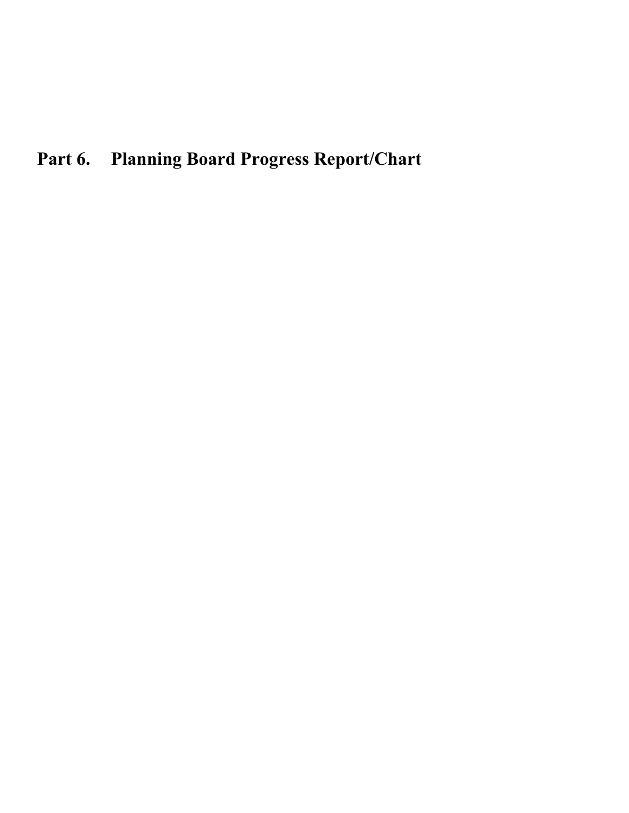# **Part 6. Planning Board Progress Report/Chart**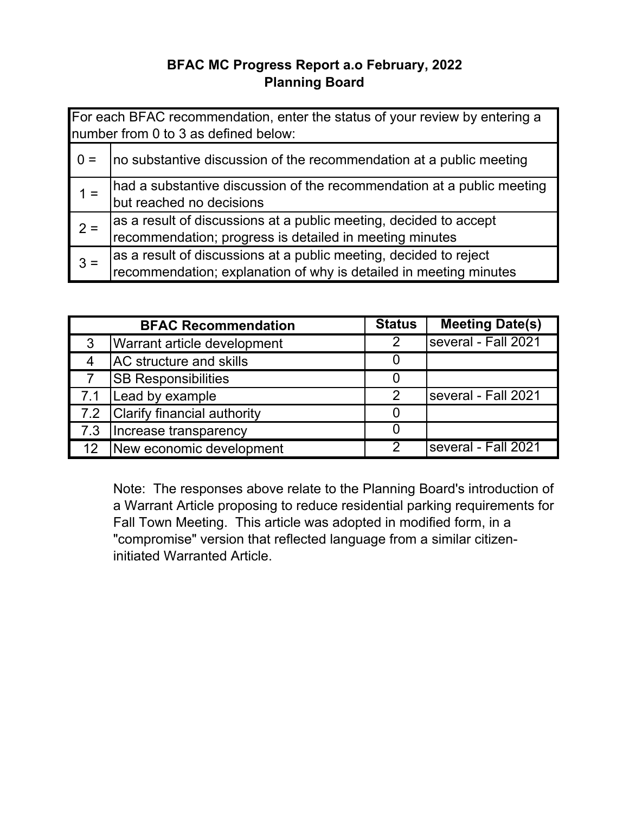## **BFAC MC Progress Report a.o February, 2022 Planning Board**

| For each BFAC recommendation, enter the status of your review by entering a<br>number from 0 to 3 as defined below: |                                                                        |  |
|---------------------------------------------------------------------------------------------------------------------|------------------------------------------------------------------------|--|
| $0 =$                                                                                                               | no substantive discussion of the recommendation at a public meeting    |  |
| $1 =$                                                                                                               | had a substantive discussion of the recommendation at a public meeting |  |
|                                                                                                                     | but reached no decisions                                               |  |
| $2 =$                                                                                                               | as a result of discussions at a public meeting, decided to accept      |  |
|                                                                                                                     | recommendation; progress is detailed in meeting minutes                |  |
| $3 =$                                                                                                               | as a result of discussions at a public meeting, decided to reject      |  |
|                                                                                                                     | recommendation; explanation of why is detailed in meeting minutes      |  |

|                | <b>BFAC Recommendation</b>     | <b>Status</b>  | <b>Meeting Date(s)</b>     |
|----------------|--------------------------------|----------------|----------------------------|
| 3              | Warrant article development    | 2              | several - Fall 2021        |
| $\overline{4}$ | <b>AC</b> structure and skills |                |                            |
|                | <b>SB Responsibilities</b>     |                |                            |
| 7.1            | Lead by example                | 2              | several - Fall 2021        |
| 7.2            | Clarify financial authority    |                |                            |
| 7.3            | Increase transparency          |                |                            |
|                | 12 New economic development    | $\mathfrak{D}$ | <b>Several - Fall 2021</b> |

Note: The responses above relate to the Planning Board's introduction of a Warrant Article proposing to reduce residential parking requirements for Fall Town Meeting. This article was adopted in modified form, in a "compromise" version that reflected language from a similar citizeninitiated Warranted Article.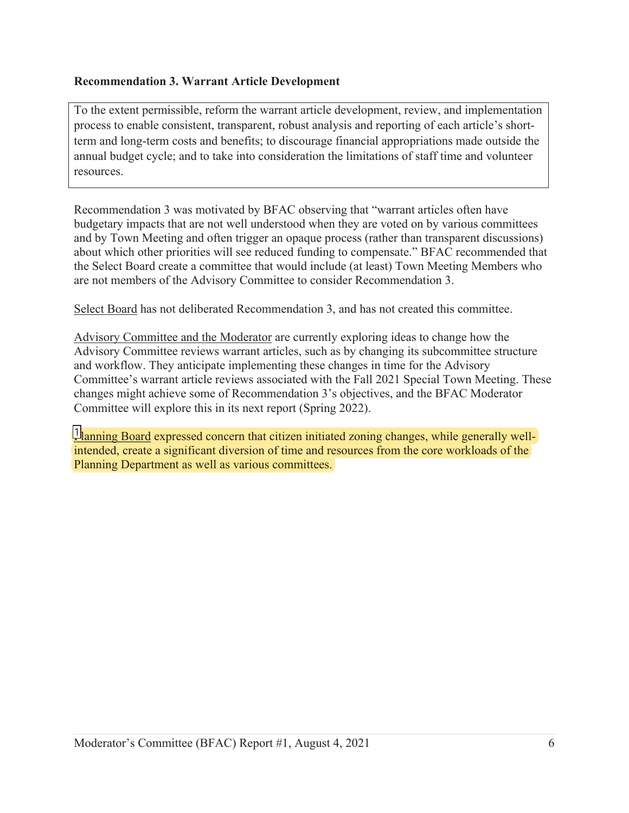#### **Recommendation 3. Warrant Article Development**

To the extent permissible, reform the warrant article development, review, and implementation process to enable consistent, transparent, robust analysis and reporting of each article's shortterm and long-term costs and benefits; to discourage financial appropriations made outside the annual budget cycle; and to take into consideration the limitations of staff time and volunteer resources.

Recommendation 3 was motivated by BFAC observing that "warrant articles often have budgetary impacts that are not well understood when they are voted on by various committees and by Town Meeting and often trigger an opaque process (rather than transparent discussions) about which other priorities will see reduced funding to compensate." BFAC recommended that the Select Board create a committee that would include (at least) Town Meeting Members who are not members of the Advisory Committee to consider Recommendation 3.

Select Board has not deliberated Recommendation 3, and has not created this committee.

Advisory Committee and the Moderator are currently exploring ideas to change how the Advisory Committee reviews warrant articles, such as by changing its subcommittee structure and workflow. They anticipate implementing these changes in time for the Advisory Committee's warrant article reviews associated with the Fall 2021 Special Town Meeting. These changes might achieve some of Recommendation 3's objectives, and the BFAC Moderator Committee will explore this in its next report (Spring 2022).

1 anning Board expressed concern that citizen initiated zoning changes, while generally well-<br>intended, create a significant diversion of time and resources from the core workloads of the intended, create a significant diversion of time and resources from the core workloads of the Planning Department as well as various committees.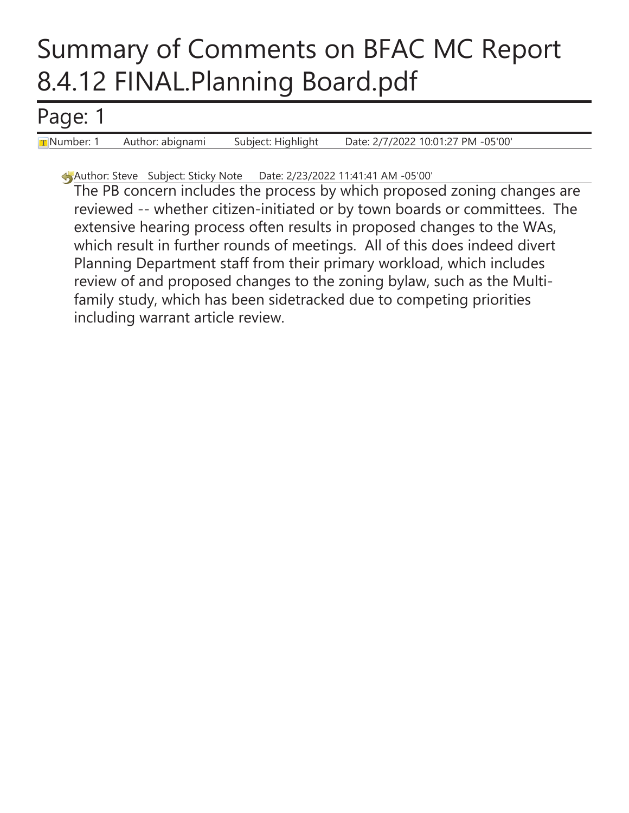# Summary of Comments on BFAC MC Report 8.4.12 FINAL.Planning Board.pdf

# Page: 1

Number: 1 Author: abignami Subject: Highlight Date: 2/7/2022 10:01:27 PM -05'00'

Author: Steve Subject: Sticky Note Date: 2/23/2022 11:41:41 AM -05'00'

The PB concern includes the process by which proposed zoning changes are reviewed -- whether citizen-initiated or by town boards or committees. The extensive hearing process often results in proposed changes to the WAs, which result in further rounds of meetings. All of this does indeed divert Planning Department staff from their primary workload, which includes review of and proposed changes to the zoning bylaw, such as the Multifamily study, which has been sidetracked due to competing priorities including warrant article review.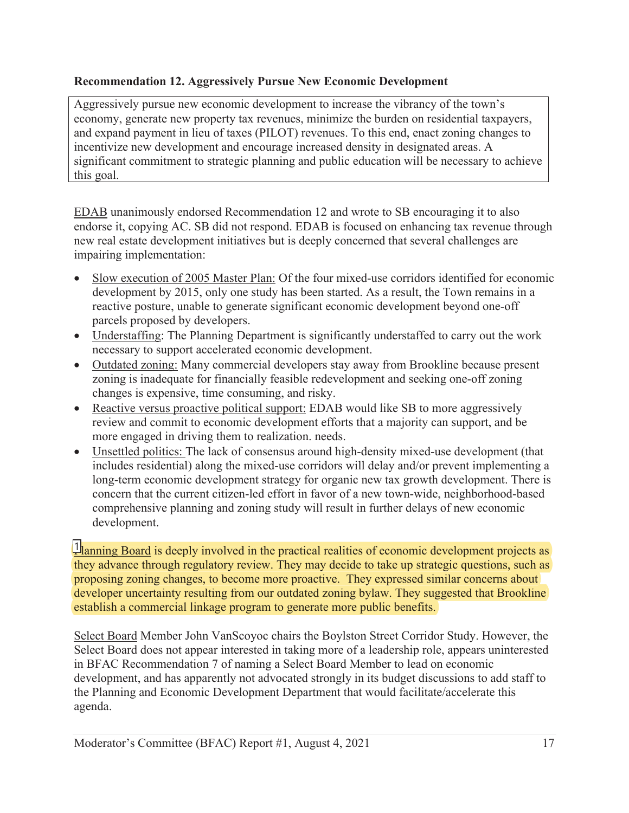#### **Recommendation 12. Aggressively Pursue New Economic Development**

Aggressively pursue new economic development to increase the vibrancy of the town's economy, generate new property tax revenues, minimize the burden on residential taxpayers, and expand payment in lieu of taxes (PILOT) revenues. To this end, enact zoning changes to incentivize new development and encourage increased density in designated areas. A significant commitment to strategic planning and public education will be necessary to achieve this goal.

EDAB unanimously endorsed Recommendation 12 and wrote to SB encouraging it to also endorse it, copying AC. SB did not respond. EDAB is focused on enhancing tax revenue through new real estate development initiatives but is deeply concerned that several challenges are impairing implementation:

- x Slow execution of 2005 Master Plan: Of the four mixed-use corridors identified for economic development by 2015, only one study has been started. As a result, the Town remains in a reactive posture, unable to generate significant economic development beyond one-off parcels proposed by developers.
- Understaffing: The Planning Department is significantly understaffed to carry out the work necessary to support accelerated economic development.
- Outdated zoning: Many commercial developers stay away from Brookline because present zoning is inadequate for financially feasible redevelopment and seeking one-off zoning changes is expensive, time consuming, and risky.
- Reactive versus proactive political support: EDAB would like SB to more aggressively review and commit to economic development efforts that a majority can support, and be more engaged in driving them to realization. needs.
- Unsettled politics: The lack of consensus around high-density mixed-use development (that includes residential) along the mixed-use corridors will delay and/or prevent implementing a long-term economic development strategy for organic new tax growth development. There is concern that the current citizen-led effort in favor of a new town-wide, neighborhood-based comprehensive planning and zoning study will result in further delays of new economic development.

 $\frac{1}{2}$  anning Board is deeply involved in the practical realities of economic development projects as they advance through regulatory review. They may decide to take up strategic questions, such as proposing zoning changes, to become more proactive. They expressed similar concerns about developer uncertainty resulting from our outdated zoning bylaw. They suggested that Brookline establish a commercial linkage program to generate more public benefits.

Select Board Member John VanScoyoc chairs the Boylston Street Corridor Study. However, the Select Board does not appear interested in taking more of a leadership role, appears uninterested in BFAC Recommendation 7 of naming a Select Board Member to lead on economic development, and has apparently not advocated strongly in its budget discussions to add staff to the Planning and Economic Development Department that would facilitate/accelerate this agenda.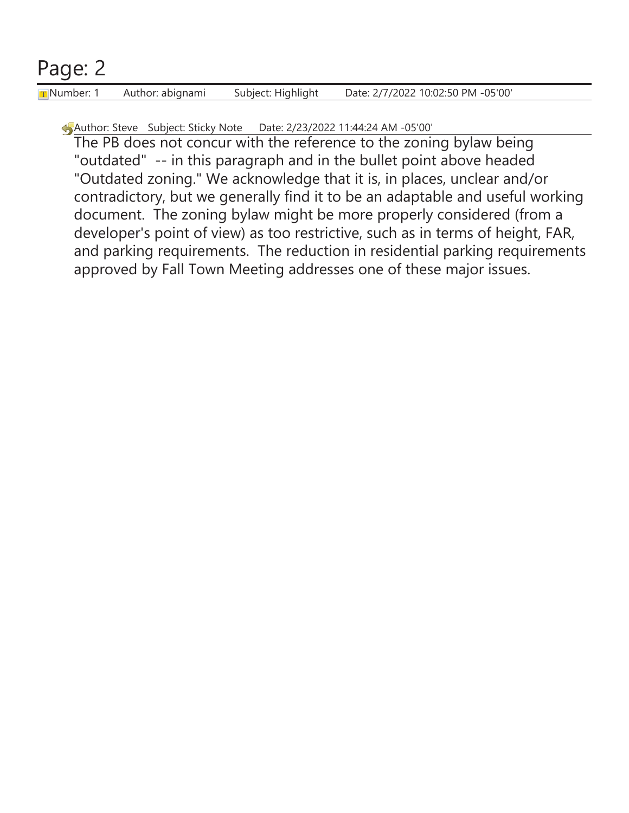# Page: 2

Number: 1 Author: abignami Subject: Highlight Date: 2/7/2022 10:02:50 PM -05'00'

Author: Steve Subject: Sticky Note Date: 2/23/2022 11:44:24 AM -05'00'

The PB does not concur with the reference to the zoning bylaw being "outdated" -- in this paragraph and in the bullet point above headed "Outdated zoning." We acknowledge that it is, in places, unclear and/or contradictory, but we generally find it to be an adaptable and useful working document. The zoning bylaw might be more properly considered (from a developer's point of view) as too restrictive, such as in terms of height, FAR, and parking requirements. The reduction in residential parking requirements approved by Fall Town Meeting addresses one of these major issues.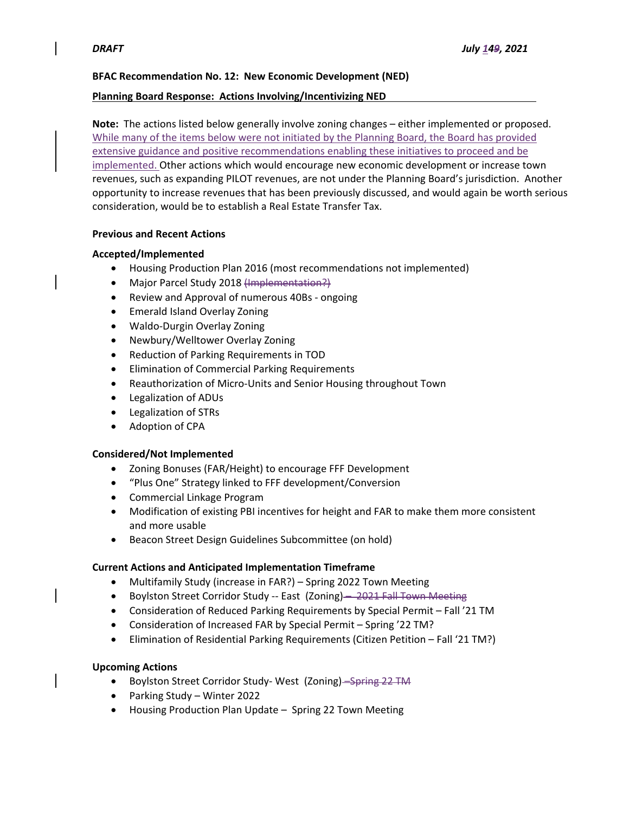#### **BFAC Recommendation No. 12: New Economic Development (NED)**

#### **Planning Board Response: Actions Involving/Incentivizing NED**

**Note:** The actions listed below generally involve zoning changes – either implemented or proposed. While many of the items below were not initiated by the Planning Board, the Board has provided extensive guidance and positive recommendations enabling these initiatives to proceed and be implemented. Other actions which would encourage new economic development or increase town revenues, such as expanding PILOT revenues, are not under the Planning Board's jurisdiction. Another opportunity to increase revenues that has been previously discussed, and would again be worth serious consideration, would be to establish a Real Estate Transfer Tax.

#### **Previous and Recent Actions**

#### **Accepted/Implemented**

- Housing Production Plan 2016 (most recommendations not implemented)
- Major Parcel Study 2018 (Implementation?)
- Review and Approval of numerous 40Bs ongoing
- Emerald Island Overlay Zoning
- Waldo‐Durgin Overlay Zoning
- Newbury/Welltower Overlay Zoning
- Reduction of Parking Requirements in TOD
- Elimination of Commercial Parking Requirements
- Reauthorization of Micro-Units and Senior Housing throughout Town
- Legalization of ADUs
- Legalization of STRs
- Adoption of CPA

#### **Considered/Not Implemented**

- Zoning Bonuses (FAR/Height) to encourage FFF Development
- "Plus One" Strategy linked to FFF development/Conversion
- Commercial Linkage Program
- Modification of existing PBI incentives for height and FAR to make them more consistent and more usable
- Beacon Street Design Guidelines Subcommittee (on hold)

#### **Current Actions and Anticipated Implementation Timeframe**

- Multifamily Study (increase in FAR?) Spring 2022 Town Meeting
- Boylston Street Corridor Study -- East (Zoning) 2021 Fall Town Meeting
- Consideration of Reduced Parking Requirements by Special Permit Fall '21 TM
- Consideration of Increased FAR by Special Permit Spring '22 TM?
- Elimination of Residential Parking Requirements (Citizen Petition Fall '21 TM?)

#### **Upcoming Actions**

- Boylston Street Corridor Study-West (Zoning) Spring 22 TM
- Parking Study Winter 2022
- Housing Production Plan Update Spring 22 Town Meeting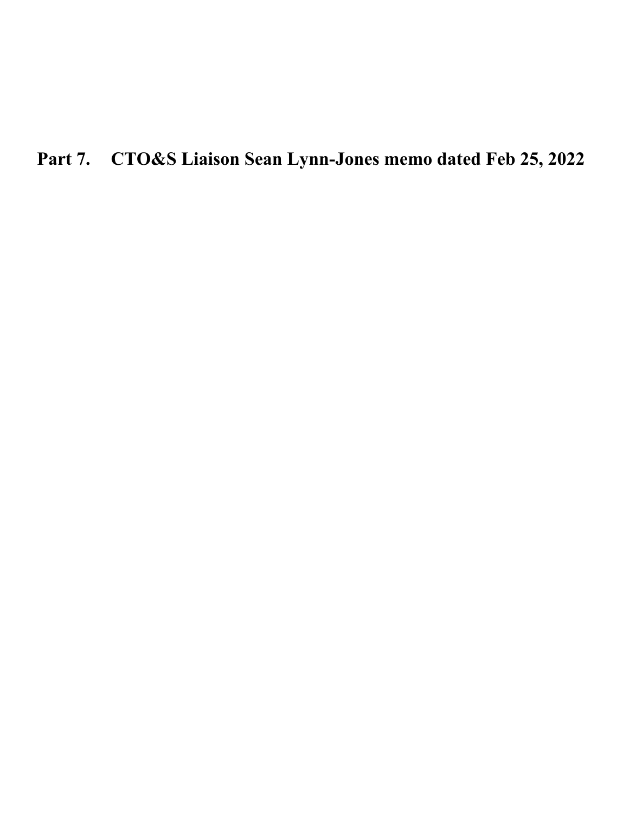**Part 7. CTO&S Liaison Sean Lynn-Jones memo dated Feb 25, 2022**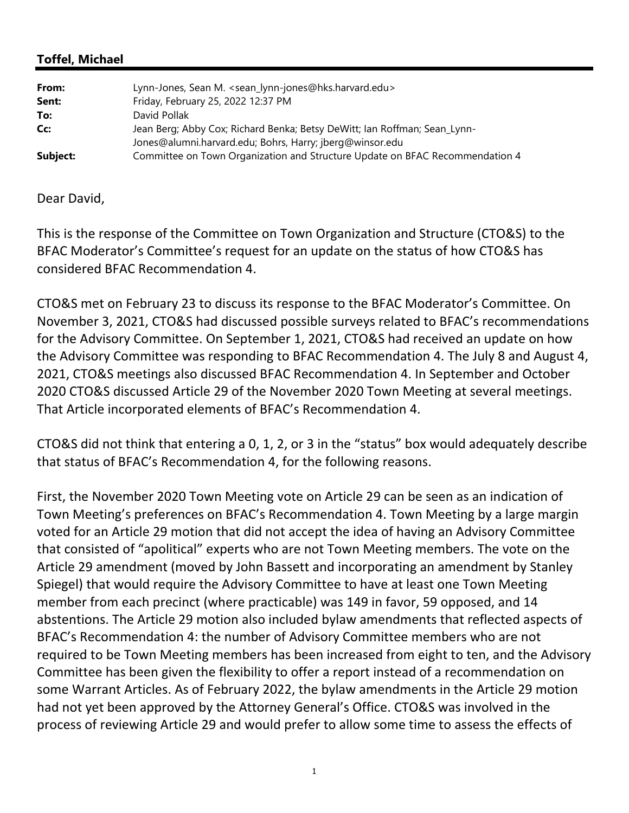### **Toffel, Michael**

| From:    | Lynn-Jones, Sean M. <sean_lynn-jones@hks.harvard.edu></sean_lynn-jones@hks.harvard.edu> |
|----------|-----------------------------------------------------------------------------------------|
| Sent:    | Friday, February 25, 2022 12:37 PM                                                      |
| To:      | David Pollak                                                                            |
| Cc:      | Jean Berg; Abby Cox; Richard Benka; Betsy DeWitt; Ian Roffman; Sean_Lynn-               |
|          | Jones@alumni.harvard.edu; Bohrs, Harry; jberg@winsor.edu                                |
| Subject: | Committee on Town Organization and Structure Update on BFAC Recommendation 4            |

#### Dear David,

This is the response of the Committee on Town Organization and Structure (CTO&S) to the BFAC Moderator's Committee's request for an update on the status of how CTO&S has considered BFAC Recommendation 4.

CTO&S met on February 23 to discuss its response to the BFAC Moderator's Committee. On November 3, 2021, CTO&S had discussed possible surveys related to BFAC's recommendations for the Advisory Committee. On September 1, 2021, CTO&S had received an update on how the Advisory Committee was responding to BFAC Recommendation 4. The July 8 and August 4, 2021, CTO&S meetings also discussed BFAC Recommendation 4. In September and October 2020 CTO&S discussed Article 29 of the November 2020 Town Meeting at several meetings. That Article incorporated elements of BFAC's Recommendation 4.

CTO&S did not think that entering a 0, 1, 2, or 3 in the "status" box would adequately describe that status of BFAC's Recommendation 4, for the following reasons.

First, the November 2020 Town Meeting vote on Article 29 can be seen as an indication of Town Meeting's preferences on BFAC's Recommendation 4. Town Meeting by a large margin voted for an Article 29 motion that did not accept the idea of having an Advisory Committee that consisted of "apolitical" experts who are not Town Meeting members. The vote on the Article 29 amendment (moved by John Bassett and incorporating an amendment by Stanley Spiegel) that would require the Advisory Committee to have at least one Town Meeting member from each precinct (where practicable) was 149 in favor, 59 opposed, and 14 abstentions. The Article 29 motion also included bylaw amendments that reflected aspects of BFAC's Recommendation 4: the number of Advisory Committee members who are not required to be Town Meeting members has been increased from eight to ten, and the Advisory Committee has been given the flexibility to offer a report instead of a recommendation on some Warrant Articles. As of February 2022, the bylaw amendments in the Article 29 motion had not yet been approved by the Attorney General's Office. CTO&S was involved in the process of reviewing Article 29 and would prefer to allow some time to assess the effects of